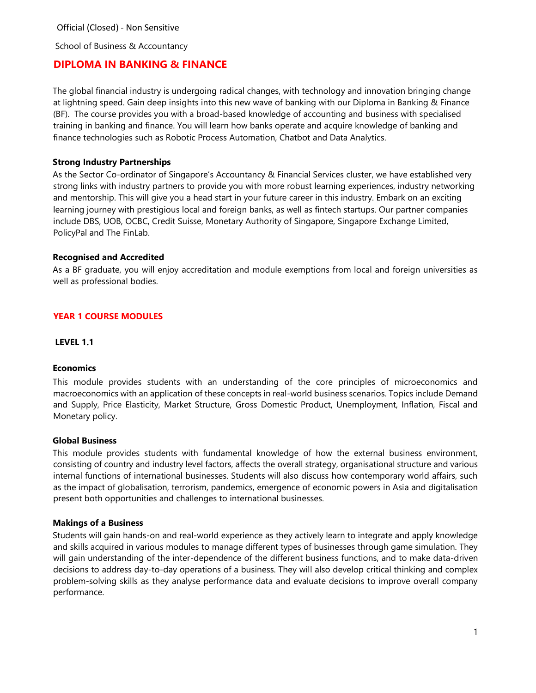School of Business & Accountancy

# **DIPLOMA IN BANKING & FINANCE**

The global financial industry is undergoing radical changes, with technology and innovation bringing change at lightning speed. Gain deep insights into this new wave of banking with our Diploma in Banking & Finance (BF). The course provides you with a broad-based knowledge of accounting and business with specialised training in banking and finance. You will learn how banks operate and acquire knowledge of banking and finance technologies such as Robotic Process Automation, Chatbot and Data Analytics.

### **Strong Industry Partnerships**

As the Sector Co-ordinator of Singapore's Accountancy & Financial Services cluster, we have established very strong links with industry partners to provide you with more robust learning experiences, industry networking and mentorship. This will give you a head start in your future career in this industry. Embark on an exciting learning journey with prestigious local and foreign banks, as well as fintech startups. Our partner companies include DBS, UOB, OCBC, Credit Suisse, Monetary Authority of Singapore, Singapore Exchange Limited, PolicyPal and The FinLab.

#### **Recognised and Accredited**

As a BF graduate, you will enjoy accreditation and module exemptions from local and foreign universities as well as professional bodies.

### **YEAR 1 COURSE MODULES**

**LEVEL 1.1** 

#### **Economics**

This module provides students with an understanding of the core principles of microeconomics and macroeconomics with an application of these concepts in real-world business scenarios. Topics include Demand and Supply, Price Elasticity, Market Structure, Gross Domestic Product, Unemployment, Inflation, Fiscal and Monetary policy.

#### **Global Business**

This module provides students with fundamental knowledge of how the external business environment, consisting of country and industry level factors, affects the overall strategy, organisational structure and various internal functions of international businesses. Students will also discuss how contemporary world affairs, such as the impact of globalisation, terrorism, pandemics, emergence of economic powers in Asia and digitalisation present both opportunities and challenges to international businesses.

#### **Makings of a Business**

Students will gain hands-on and real-world experience as they actively learn to integrate and apply knowledge and skills acquired in various modules to manage different types of businesses through game simulation. They will gain understanding of the inter-dependence of the different business functions, and to make data-driven decisions to address day-to-day operations of a business. They will also develop critical thinking and complex problem-solving skills as they analyse performance data and evaluate decisions to improve overall company performance.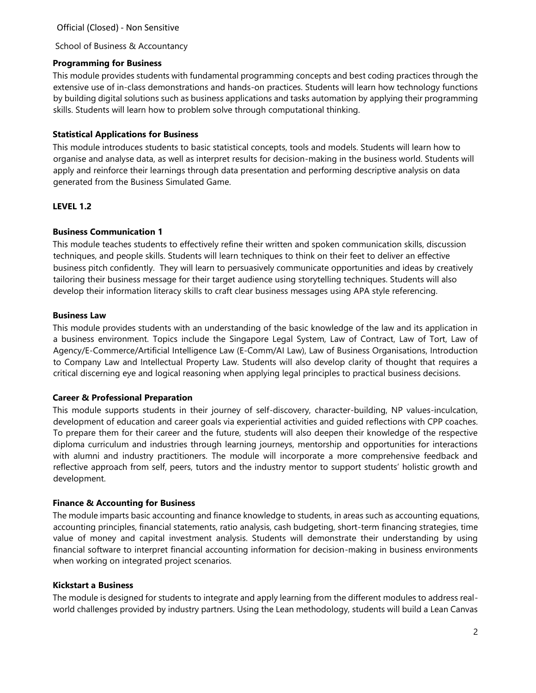### School of Business & Accountancy

#### **Programming for Business**

This module provides students with fundamental programming concepts and best coding practices through the extensive use of in-class demonstrations and hands-on practices. Students will learn how technology functions by building digital solutions such as business applications and tasks automation by applying their programming skills. Students will learn how to problem solve through computational thinking.

### **Statistical Applications for Business**

This module introduces students to basic statistical concepts, tools and models. Students will learn how to organise and analyse data, as well as interpret results for decision-making in the business world. Students will apply and reinforce their learnings through data presentation and performing descriptive analysis on data generated from the Business Simulated Game.

#### **LEVEL 1.2**

#### **Business Communication 1**

This module teaches students to effectively refine their written and spoken communication skills, discussion techniques, and people skills. Students will learn techniques to think on their feet to deliver an effective business pitch confidently. They will learn to persuasively communicate opportunities and ideas by creatively tailoring their business message for their target audience using storytelling techniques. Students will also develop their information literacy skills to craft clear business messages using APA style referencing.

#### **Business Law**

This module provides students with an understanding of the basic knowledge of the law and its application in a business environment. Topics include the Singapore Legal System, Law of Contract, Law of Tort, Law of Agency/E-Commerce/Artificial Intelligence Law (E-Comm/AI Law), Law of Business Organisations, Introduction to Company Law and Intellectual Property Law. Students will also develop clarity of thought that requires a critical discerning eye and logical reasoning when applying legal principles to practical business decisions.

### **Career & Professional Preparation**

This module supports students in their journey of self-discovery, character-building, NP values-inculcation, development of education and career goals via experiential activities and guided reflections with CPP coaches. To prepare them for their career and the future, students will also deepen their knowledge of the respective diploma curriculum and industries through learning journeys, mentorship and opportunities for interactions with alumni and industry practitioners. The module will incorporate a more comprehensive feedback and reflective approach from self, peers, tutors and the industry mentor to support students' holistic growth and development.

### **Finance & Accounting for Business**

The module imparts basic accounting and finance knowledge to students, in areas such as accounting equations, accounting principles, financial statements, ratio analysis, cash budgeting, short-term financing strategies, time value of money and capital investment analysis. Students will demonstrate their understanding by using financial software to interpret financial accounting information for decision-making in business environments when working on integrated project scenarios.

#### **Kickstart a Business**

The module is designed for students to integrate and apply learning from the different modules to address realworld challenges provided by industry partners. Using the Lean methodology, students will build a Lean Canvas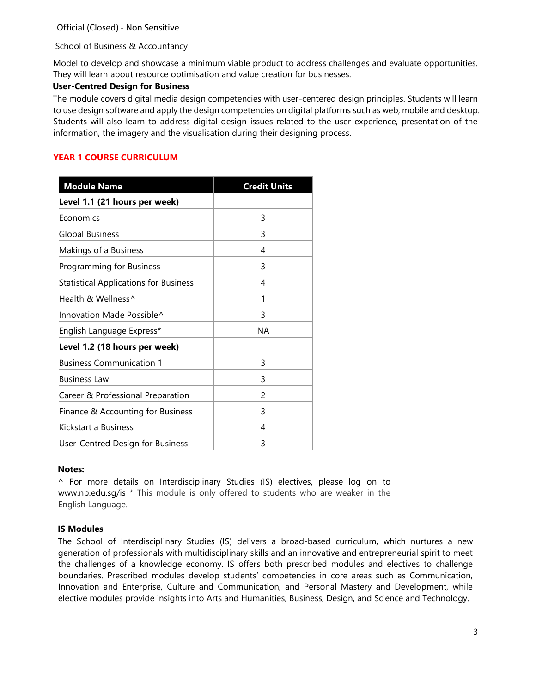School of Business & Accountancy

Model to develop and showcase a minimum viable product to address challenges and evaluate opportunities. They will learn about resource optimisation and value creation for businesses.

## **User-Centred Design for Business**

The module covers digital media design competencies with user-centered design principles. Students will learn to use design software and apply the design competencies on digital platforms such as web, mobile and desktop. Students will also learn to address digital design issues related to the user experience, presentation of the information, the imagery and the visualisation during their designing process.

## **YEAR 1 COURSE CURRICULUM**

| <b>Module Name</b>                           | <b>Credit Units</b> |
|----------------------------------------------|---------------------|
| Level 1.1 (21 hours per week)                |                     |
| Economics                                    | 3                   |
| Global Business                              | 3                   |
| Makings of a Business                        | 4                   |
| Programming for Business                     | 3                   |
| <b>Statistical Applications for Business</b> | 4                   |
| Health & Wellness^                           | 1                   |
| Innovation Made Possible^                    | 3                   |
| English Language Express*                    | <b>NA</b>           |
| Level 1.2 (18 hours per week)                |                     |
| <b>Business Communication 1</b>              | 3                   |
| <b>Business Law</b>                          | 3                   |
| Career & Professional Preparation            | 2                   |
| Finance & Accounting for Business            | 3                   |
| Kickstart a Business                         | 4                   |
| User-Centred Design for Business             | 3                   |

### **Notes:**

^ For more details on Interdisciplinary Studies (IS) electives, please log on to [www.np.edu.sg/is](http://www.np.edu.sg/is) \* This module is only offered to students who are weaker in the English Language.

### **IS Modules**

The School of Interdisciplinary Studies (IS) delivers a broad-based curriculum, which nurtures a new generation of professionals with multidisciplinary skills and an innovative and entrepreneurial spirit to meet the challenges of a knowledge economy. IS offers both prescribed modules and electives to challenge boundaries. Prescribed modules develop students' competencies in core areas such as Communication, Innovation and Enterprise, Culture and Communication, and Personal Mastery and Development, while elective modules provide insights into Arts and Humanities, Business, Design, and Science and Technology.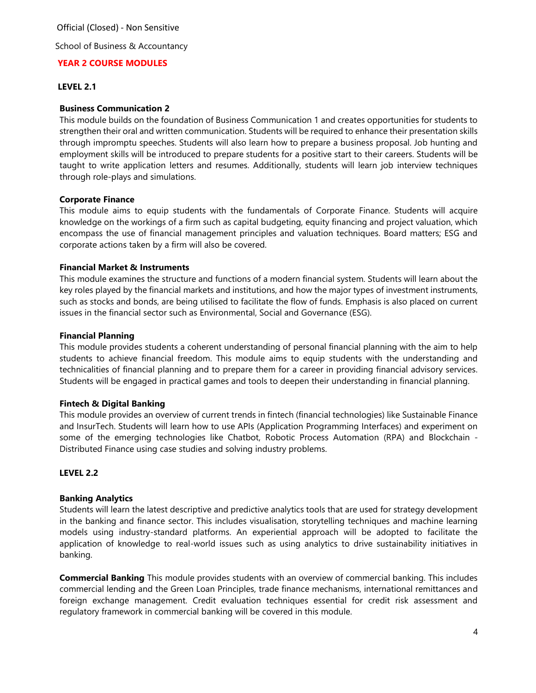School of Business & Accountancy

## **YEAR 2 COURSE MODULES**

### **LEVEL 2.1**

#### **Business Communication 2**

This module builds on the foundation of Business Communication 1 and creates opportunities for students to strengthen their oral and written communication. Students will be required to enhance their presentation skills through impromptu speeches. Students will also learn how to prepare a business proposal. Job hunting and employment skills will be introduced to prepare students for a positive start to their careers. Students will be taught to write application letters and resumes. Additionally, students will learn job interview techniques through role-plays and simulations.

#### **Corporate Finance**

This module aims to equip students with the fundamentals of Corporate Finance. Students will acquire knowledge on the workings of a firm such as capital budgeting, equity financing and project valuation, which encompass the use of financial management principles and valuation techniques. Board matters; ESG and corporate actions taken by a firm will also be covered.

#### **Financial Market & Instruments**

This module examines the structure and functions of a modern financial system. Students will learn about the key roles played by the financial markets and institutions, and how the major types of investment instruments, such as stocks and bonds, are being utilised to facilitate the flow of funds. Emphasis is also placed on current issues in the financial sector such as Environmental, Social and Governance (ESG).

#### **Financial Planning**

This module provides students a coherent understanding of personal financial planning with the aim to help students to achieve financial freedom. This module aims to equip students with the understanding and technicalities of financial planning and to prepare them for a career in providing financial advisory services. Students will be engaged in practical games and tools to deepen their understanding in financial planning.

### **Fintech & Digital Banking**

This module provides an overview of current trends in fintech (financial technologies) like Sustainable Finance and InsurTech. Students will learn how to use APIs (Application Programming Interfaces) and experiment on some of the emerging technologies like Chatbot, Robotic Process Automation (RPA) and Blockchain - Distributed Finance using case studies and solving industry problems.

#### **LEVEL 2.2**

### **Banking Analytics**

Students will learn the latest descriptive and predictive analytics tools that are used for strategy development in the banking and finance sector. This includes visualisation, storytelling techniques and machine learning models using industry-standard platforms. An experiential approach will be adopted to facilitate the application of knowledge to real-world issues such as using analytics to drive sustainability initiatives in banking.

**Commercial Banking** This module provides students with an overview of commercial banking. This includes commercial lending and the Green Loan Principles, trade finance mechanisms, international remittances and foreign exchange management. Credit evaluation techniques essential for credit risk assessment and regulatory framework in commercial banking will be covered in this module.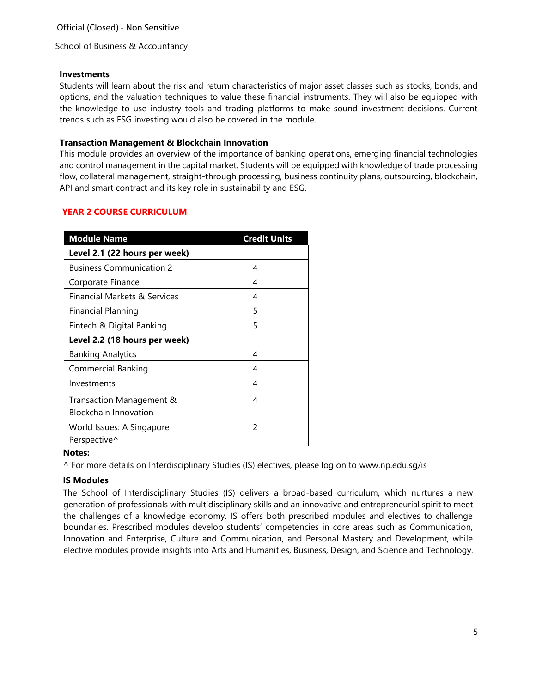School of Business & Accountancy

#### **Investments**

Students will learn about the risk and return characteristics of major asset classes such as stocks, bonds, and options, and the valuation techniques to value these financial instruments. They will also be equipped with the knowledge to use industry tools and trading platforms to make sound investment decisions. Current trends such as ESG investing would also be covered in the module.

### **Transaction Management & Blockchain Innovation**

This module provides an overview of the importance of banking operations, emerging financial technologies and control management in the capital market. Students will be equipped with knowledge of trade processing flow, collateral management, straight-through processing, business continuity plans, outsourcing, blockchain, API and smart contract and its key role in sustainability and ESG.

## **YEAR 2 COURSE CURRICULUM**

| <b>Module Name</b>              | <b>Credit Units</b> |
|---------------------------------|---------------------|
| Level 2.1 (22 hours per week)   |                     |
| <b>Business Communication 2</b> | 4                   |
| Corporate Finance               | 4                   |
| Financial Markets & Services    | 4                   |
| Financial Planning              | 5                   |
| Fintech & Digital Banking       | 5                   |
| Level 2.2 (18 hours per week)   |                     |
| <b>Banking Analytics</b>        | 4                   |
| Commercial Banking              | 4                   |
| Investments                     | 4                   |
| Transaction Management &        | 4                   |
| <b>Blockchain Innovation</b>    |                     |
| World Issues: A Singapore       | 2                   |
| Perspective^                    |                     |

### **Notes:**

^ For more details on Interdisciplinary Studies (IS) electives, please log on to [www.np.edu.sg/is](http://www.np.edu.sg/is)

### **IS Modules**

The School of Interdisciplinary Studies (IS) delivers a broad-based curriculum, which nurtures a new generation of professionals with multidisciplinary skills and an innovative and entrepreneurial spirit to meet the challenges of a knowledge economy. IS offers both prescribed modules and electives to challenge boundaries. Prescribed modules develop students' competencies in core areas such as Communication, Innovation and Enterprise, Culture and Communication, and Personal Mastery and Development, while elective modules provide insights into Arts and Humanities, Business, Design, and Science and Technology.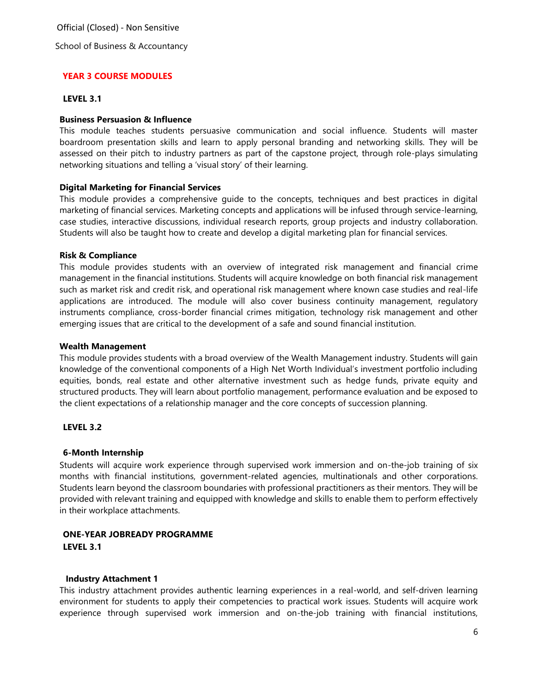School of Business & Accountancy

### **YEAR 3 COURSE MODULES**

#### **LEVEL 3.1**

#### **Business Persuasion & Influence**

This module teaches students persuasive communication and social influence. Students will master boardroom presentation skills and learn to apply personal branding and networking skills. They will be assessed on their pitch to industry partners as part of the capstone project, through role-plays simulating networking situations and telling a 'visual story' of their learning.

#### **Digital Marketing for Financial Services**

This module provides a comprehensive guide to the concepts, techniques and best practices in digital marketing of financial services. Marketing concepts and applications will be infused through service-learning, case studies, interactive discussions, individual research reports, group projects and industry collaboration. Students will also be taught how to create and develop a digital marketing plan for financial services.

#### **Risk & Compliance**

This module provides students with an overview of integrated risk management and financial crime management in the financial institutions. Students will acquire knowledge on both financial risk management such as market risk and credit risk, and operational risk management where known case studies and real-life applications are introduced. The module will also cover business continuity management, regulatory instruments compliance, cross-border financial crimes mitigation, technology risk management and other emerging issues that are critical to the development of a safe and sound financial institution.

#### **Wealth Management**

This module provides students with a broad overview of the Wealth Management industry. Students will gain knowledge of the conventional components of a High Net Worth Individual's investment portfolio including equities, bonds, real estate and other alternative investment such as hedge funds, private equity and structured products. They will learn about portfolio management, performance evaluation and be exposed to the client expectations of a relationship manager and the core concepts of succession planning.

### **LEVEL 3.2**

### **6-Month Internship**

Students will acquire work experience through supervised work immersion and on-the-job training of six months with financial institutions, government-related agencies, multinationals and other corporations. Students learn beyond the classroom boundaries with professional practitioners as their mentors. They will be provided with relevant training and equipped with knowledge and skills to enable them to perform effectively in their workplace attachments.

### **ONE-YEAR JOBREADY PROGRAMME LEVEL 3.1**

#### **Industry Attachment 1**

This industry attachment provides authentic learning experiences in a real-world, and self-driven learning environment for students to apply their competencies to practical work issues. Students will acquire work experience through supervised work immersion and on-the-job training with financial institutions,